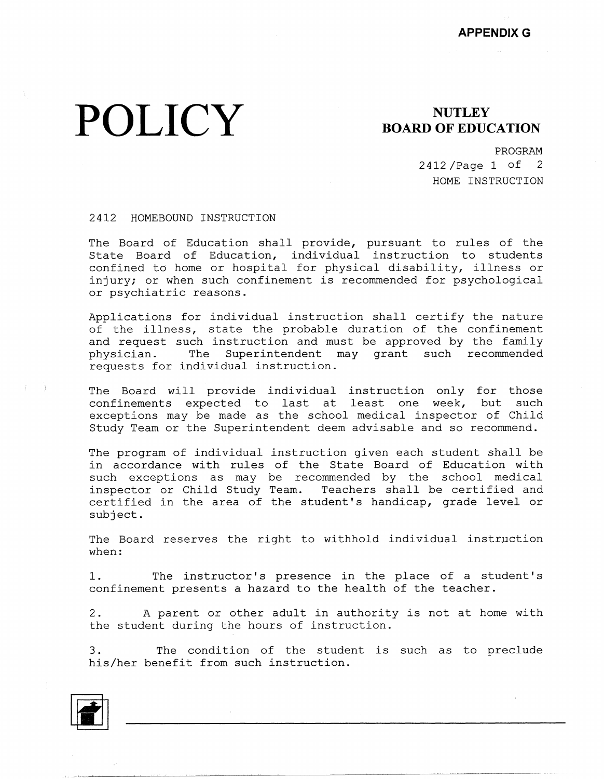## **POLICY** BOARD OF EDUCATION

PROGRAM 2412 /Page 1 of 2 HOME INSTRUCTION

## 2412 HOMEBOUND INSTRUCTION

The Board of Education shall provide, pursuant to rules of the State Board of Education, individual instruction to studen confined to home or hospital for physical disability, illness or injury; or when such confinement is recommended for psychological or psychiatric reasons.

Applications for individual instruction shall certify the nature of the illness, state the probable duration of the confinement and request such instruction and must be approved by the family physician. The Superintendent may grant such recommended requests for individual instruction.

The Board will provide individual instruction only for those confinements expected to last at least one week, but such exceptions may be made as the school medical inspector of Child Study Team or the Superintendent deem advisable and so recommend.

The program of individual instruction given each student shall be in accordance with rules of the State Board of Education with such exceptions as may be recommended by the school medical inspector or Child Study Team. Teachers shall be certified and certified in the area of the student's handicap, grade level or subject.

The Board reserves the right to withhold individual instruction when:

1. The instructor's presence in the place of a student's confinement presents a hazard to the health of the teacher.

2. A parent or other adult in authority is not at home with the student during the hours of instruction.

3. The condition of the student is such as to preclude his/her benefit from such instruction.